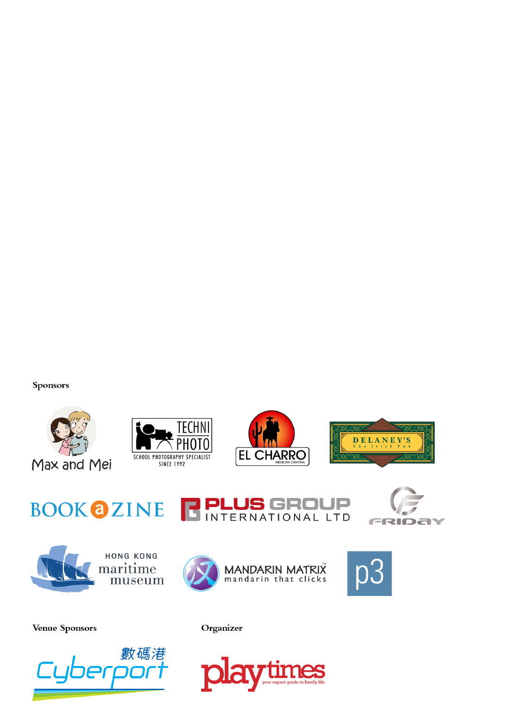







**R PLUS GROUP** 



FRIDAY





HONG KONG maritime museum



Organizer



JP

Venue Sponsors



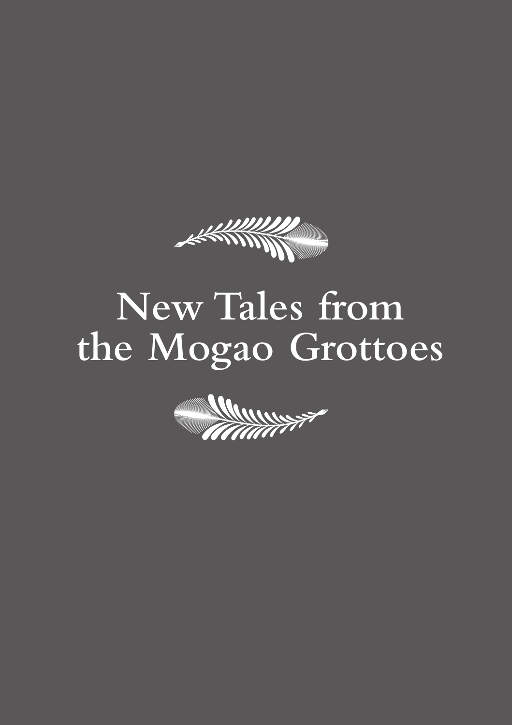

# **New Tales from the Mogao Grottoes**

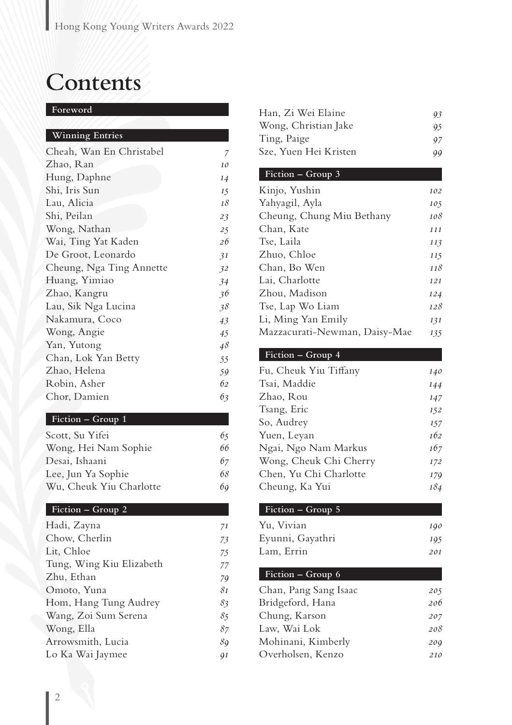# **Contents**

#### **Foreword**

| 7  |
|----|
| 10 |
| 14 |
| 15 |
| 18 |
| 23 |
| 25 |
| 26 |
| 31 |
| 32 |
| 34 |
| 36 |
| 38 |
| 43 |
| 45 |
| 48 |
| 55 |
| 59 |
| 62 |
| 63 |
|    |

# **Fiction – Group 1**

| Scott, Su Yifei         | 65 |
|-------------------------|----|
| Wong, Hei Nam Sophie    | 66 |
| Desai, Ishaani          | 67 |
| Lee, Jun Ya Sophie      | 68 |
| Wu, Cheuk Yiu Charlotte | 60 |

# **Fiction – Group 2**

| Hadi, Zayna              | 71 |
|--------------------------|----|
| Chow, Cherlin            | 73 |
| Lit, Chloe               | 75 |
| Tung, Wing Kiu Elizabeth | 77 |
| Zhu, Ethan               | 79 |
| Omoto, Yuna              | 81 |
| Hom, Hang Tung Audrey    | 83 |
| Wang, Zoi Sum Serena     | 85 |
| Wong, Ella               | 87 |
| Arrowsmith, Lucia        | 89 |
| Lo Ka Wai Jaymee         | Q1 |
|                          |    |

| Han, Zi Wei Elaine    | 93 |
|-----------------------|----|
| Wong, Christian Jake  | 95 |
| Ting, Paige           | 97 |
| Sze, Yuen Hei Kristen | 99 |

# **Fiction – Group 3**

| Kinjo, Yushin                 | 102 |
|-------------------------------|-----|
| Yahyagil, Ayla                | 105 |
| Cheung, Chung Miu Bethany     | 108 |
| Chan, Kate                    | 111 |
| Tse, Laila                    | 113 |
| Zhuo, Chloe                   | 115 |
| Chan, Bo Wen                  | 118 |
| Lai, Charlotte                | 121 |
| Zhou, Madison                 | 124 |
| Tse, Lap Wo Liam              | 128 |
| Li, Ming Yan Emily            | 131 |
| Mazzacurati-Newman, Daisy-Mae | 135 |

### **Fiction – Group 4**

| Fu, Cheuk Yiu Tiffany  | 140 |
|------------------------|-----|
| Tsai, Maddie           | 144 |
| Zhao, Rou              | 147 |
| Tsang, Eric            | 152 |
| So, Audrey             | 157 |
| Yuen, Leyan            | 162 |
| Ngai, Ngo Nam Markus   | 167 |
| Wong, Cheuk Chi Cherry | 172 |
| Chen, Yu Chi Charlotte | 179 |
| Cheung, Ka Yui         | 184 |
|                        |     |

# **Fiction – Group 5**

| Yu, Vivian       | 190 |
|------------------|-----|
| Eyunni, Gayathri | 195 |
| Lam, Errin       | 201 |

#### **Fiction – Group 6**

| Chan, Pang Sang Isaac | 205 |
|-----------------------|-----|
| Bridgeford, Hana      | 206 |
| Chung, Karson         | 207 |
| Law, Wai Lok          | 208 |
| Mohinani, Kimberly    | 200 |
| Overholsen, Kenzo     | 210 |
|                       |     |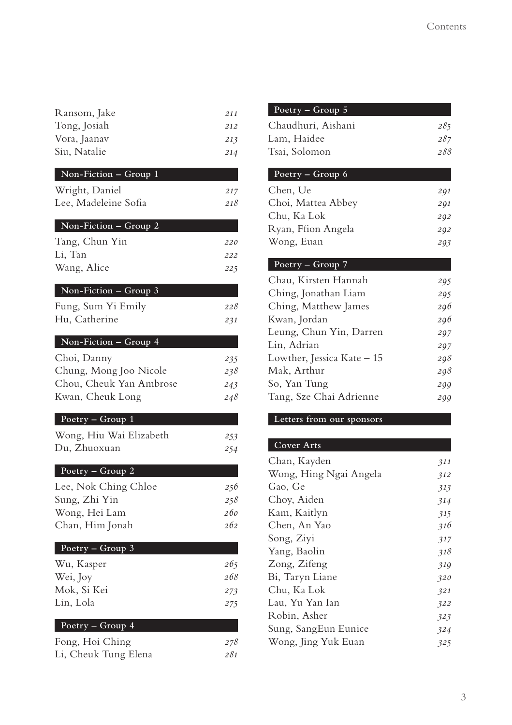| Ransom, Jake | 211 |
|--------------|-----|
| Tong, Josiah | 212 |
| Vora, Jaanav | 213 |
| Siu, Natalie | 214 |

#### **Non-Fiction – Group 1**

| Wright, Daniel       | 217 |
|----------------------|-----|
| Lee, Madeleine Sofia | 218 |

## **Non-Fiction – Group 2**

| Tang, Chun Yin | 220 |
|----------------|-----|
| Li, Tan        | 222 |
| Wang, Alice    | 225 |

#### **Non-Fiction – Group 3**

| Fung, Sum Yi Emily | 228 |
|--------------------|-----|
| Hu. Catherine      | 231 |

#### **Non-Fiction – Group 4**

| Choi, Danny             | 235 |
|-------------------------|-----|
| Chung, Mong Joo Nicole  | 238 |
| Chou, Cheuk Yan Ambrose | 243 |
| Kwan, Cheuk Long        | 248 |

### **Poetry – Group 1**

| Wong, Hiu Wai Elizabeth | 253 |
|-------------------------|-----|
| Du, Zhuoxuan            | 254 |

#### **Poetry – Group 2**

| Lee, Nok Ching Chloe | 256 |  |
|----------------------|-----|--|
| Sung, Zhi Yin        | 258 |  |
| Wong, Hei Lam        | 260 |  |
| Chan, Him Jonah      | 262 |  |

#### **Poetry – Group 3**

| Wu, Kasper  | 265 |
|-------------|-----|
| Wei, Joy    | 268 |
| Mok, Si Kei | 273 |
| Lin, Lola   | 275 |

# **Poetry – Group 4**

| Fong, Hoi Ching      | $27\delta$ |
|----------------------|------------|
| Li, Cheuk Tung Elena | 281        |

| Poetry - Group 5           |     |
|----------------------------|-----|
| Chaudhuri, Aishani         | 285 |
| Lam, Haidee                | 287 |
| Tsai, Solomon              | 288 |
| Poetry – Group $6$         |     |
| Chen, Ue                   | 291 |
| Choi, Mattea Abbey         | 291 |
| Chu, Ka Lok                | 292 |
| Ryan, Ffion Angela         | 292 |
| Wong, Euan                 | 293 |
| Poetry – Group 7           |     |
| Chau, Kirsten Hannah       | 295 |
| Ching, Jonathan Liam       | 295 |
| Ching, Matthew James       | 296 |
| Kwan, Jordan               | 296 |
| Leung, Chun Yin, Darren    | 297 |
| Lin, Adrian                | 297 |
| Lowther, Jessica Kate – 15 | 298 |
| Mak, Arthur                | 298 |
| So, Yan Tung               | 299 |
| Tang, Sze Chai Adrienne    | 299 |

#### **Letters from our sponsors**

# **Cover Arts** Chan, Kayden *311* Wong, Hing Ngai Angela *312* Gao, Ge *313* Choy, Aiden *314* Kam, Kaitlyn *315* Chen, An Yao *316* Song, Ziyi *317* Yang, Baolin *318* Zong, Zifeng *319* Bi, Taryn Liane *320* Chu, Ka Lok *321* Lau, Yu Yan Ian *322* Robin, Asher *323* Sung, SangEun Eunice *324* Wong, Jing Yuk Euan *325*